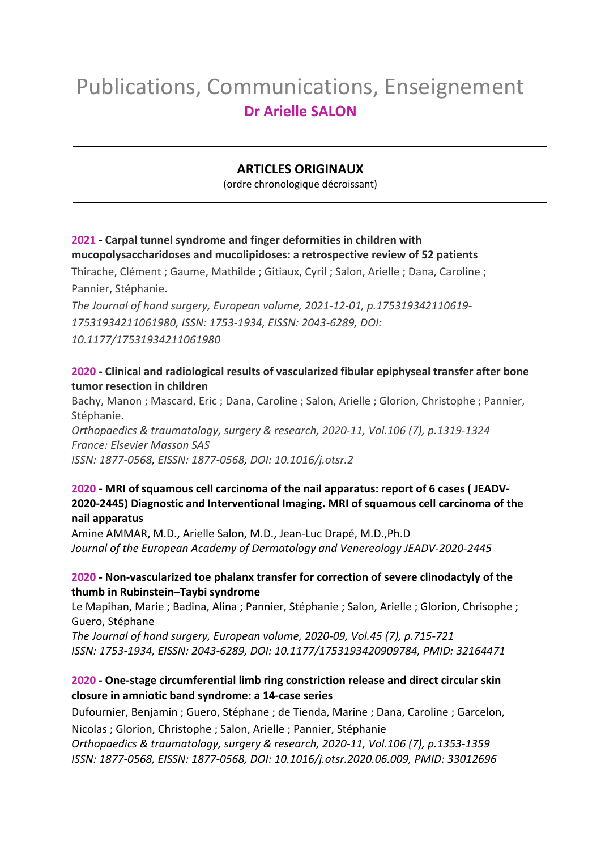# Publications, Communications, Enseignement **Dr Arielle SALON**

## **ARTICLES ORIGINAUX**

(ordre chronologique décroissant)

## **2021 - [Carpal tunnel syndrome and finger deformities in children with](https://uspc-upde.primo.exlibrisgroup.com/discovery/fulldisplay?docid=cdi_proquest_miscellaneous_2605600368&context=PC&vid=33USPC_UPDE:UPDE&lang=fr&search_scope=Everything&adaptor=Primo%20Central&tab=Tout&query=any%2Ccontains%2Csalon%20arielle%20&mode=basic)  [mucopolysaccharidoses and mucolipidoses: a retrospective review of 52 patients](https://uspc-upde.primo.exlibrisgroup.com/discovery/fulldisplay?docid=cdi_proquest_miscellaneous_2605600368&context=PC&vid=33USPC_UPDE:UPDE&lang=fr&search_scope=Everything&adaptor=Primo%20Central&tab=Tout&query=any%2Ccontains%2Csalon%20arielle%20&mode=basic)**

Thirache, Clément ; Gaume, Mathilde ; Gitiaux, Cyril ; Salon, Arielle ; Dana, Caroline ; Pannier, Stéphanie.

*The Journal of hand surgery, European volume, 2021-12-01, p.175319342110619- 17531934211061980, ISSN: 1753-1934, EISSN: 2043-6289, DOI: 10.1177/17531934211061980*

## **2020 - [Clinical and radiological results of vascularized fibular epiphyseal transfer after bone](https://uspc-upde.primo.exlibrisgroup.com/discovery/fulldisplay?docid=cdi_hal_primary_oai_HAL_hal_03493652v1&context=PC&vid=33USPC_UPDE:UPDE&lang=fr&adaptor=Primo%20Central&tab=Tout)  [tumor resection in children](https://uspc-upde.primo.exlibrisgroup.com/discovery/fulldisplay?docid=cdi_hal_primary_oai_HAL_hal_03493652v1&context=PC&vid=33USPC_UPDE:UPDE&lang=fr&adaptor=Primo%20Central&tab=Tout)**

Bachy, Manon ; Mascard, Eric ; Dana, Caroline ; Salon, Arielle ; Glorion, Christophe ; Pannier, Stéphanie.

*Orthopaedics & traumatology, surgery & research, 2020-11, Vol.106 (7), p.1319-1324 France: Elsevier Masson SAS ISSN: 1877-0568, EISSN: 1877-0568, DOI: 10.1016/j.otsr.2*

#### **2020 - MRI of squamous cell carcinoma of the nail apparatus: report of 6 cases ( JEADV-2020-2445) Diagnostic and Interventional Imaging. MRI of squamous cell carcinoma of the nail apparatus**

Amine AMMAR, M.D., Arielle Salon, M.D., Jean-Luc Drapé, M.D.,Ph.D *Journal of the European Academy of Dermatology and Venereology JEADV-2020-2445* 

#### **2020 - [Non-vascularized toe phalanx transfer for correction of severe clinodactyly of the](https://uspc-upde.primo.exlibrisgroup.com/discovery/fulldisplay?docid=cdi_proquest_miscellaneous_2377330255&context=PC&vid=33USPC_UPDE:UPDE&lang=fr&search_scope=Everything&adaptor=Primo%20Central&tab=Tout&query=any%2Ccontains%2Csalon%20arielle%20&mode=basic)  [thumb in Rubinstein–Taybi syndrome](https://uspc-upde.primo.exlibrisgroup.com/discovery/fulldisplay?docid=cdi_proquest_miscellaneous_2377330255&context=PC&vid=33USPC_UPDE:UPDE&lang=fr&search_scope=Everything&adaptor=Primo%20Central&tab=Tout&query=any%2Ccontains%2Csalon%20arielle%20&mode=basic)**

Le Mapihan, Marie ; Badina, Alina ; Pannier, Stéphanie ; Salon, Arielle ; Glorion, Chrisophe ; Guero, Stéphane

*The Journal of hand surgery, European volume, 2020-09, Vol.45 (7), p.715-721 ISSN: 1753-1934, EISSN: 2043-6289, DOI: 10.1177/1753193420909784, PMID: 32164471*

## **2020 - [One-stage circumferential limb ring constriction release and direct circular skin](https://uspc-upde.primo.exlibrisgroup.com/discovery/fulldisplay?docid=cdi_hal_primary_oai_HAL_hal_03492677v1&context=PC&vid=33USPC_UPDE:UPDE&lang=fr&search_scope=Everything&adaptor=Primo%20Central&tab=Tout&query=any%2Ccontains%2Csalon%20arielle%20&mode=basic)  [closure in amniotic band syndrome: a 14-case series](https://uspc-upde.primo.exlibrisgroup.com/discovery/fulldisplay?docid=cdi_hal_primary_oai_HAL_hal_03492677v1&context=PC&vid=33USPC_UPDE:UPDE&lang=fr&search_scope=Everything&adaptor=Primo%20Central&tab=Tout&query=any%2Ccontains%2Csalon%20arielle%20&mode=basic)**

Dufournier, Benjamin ; Guero, Stéphane ; de Tienda, Marine ; Dana, Caroline ; Garcelon,

Nicolas ; Glorion, Christophe ; Salon, Arielle ; Pannier, Stéphanie

*Orthopaedics & traumatology, surgery & research, 2020-11, Vol.106 (7), p.1353-1359 ISSN: 1877-0568, EISSN: 1877-0568, DOI: 10.1016/j.otsr.2020.06.009, PMID: 33012696*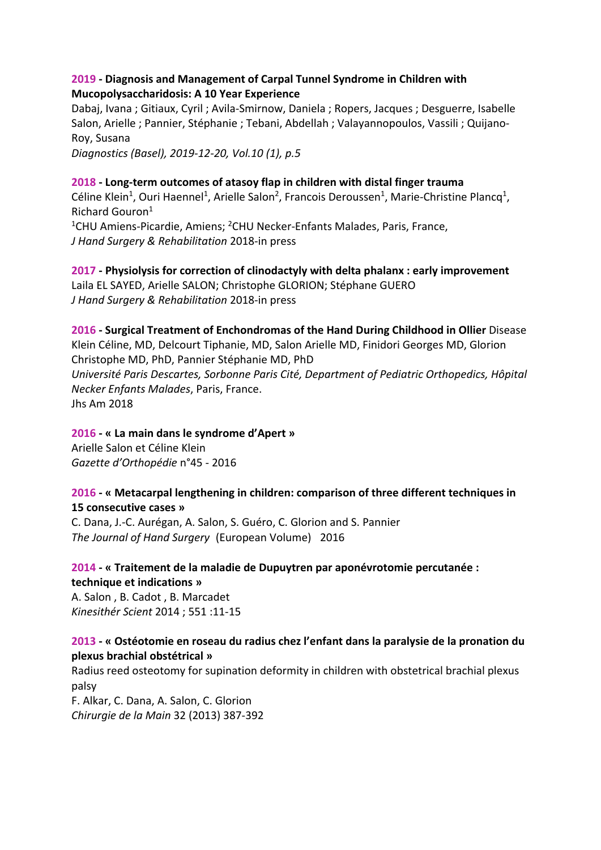#### **2019 - Diagnosis and Management of Carpal Tunnel Syndrome in Children with Mucopolysaccharidosis: A 10 Year Experience**

Dabaj, Ivana ; Gitiaux, Cyril ; Avila-Smirnow, Daniela ; Ropers, Jacques ; Desguerre, Isabelle Salon, Arielle ; Pannier, Stéphanie ; Tebani, Abdellah ; Valayannopoulos, Vassili ; Quijano-Roy, Susana *Diagnostics (Basel), 2019-12-20, Vol.10 (1), p.5*

#### **2018 - Long-term outcomes of atasoy flap in children with distal finger trauma**

Céline Klein<sup>1</sup>, Ouri Haennel<sup>1</sup>, Arielle Salon<sup>2</sup>, Francois Deroussen<sup>1</sup>, Marie-Christine Plancq<sup>1</sup>, Richard Gouron1

<sup>1</sup>CHU Amiens-Picardie, Amiens; <sup>2</sup>CHU Necker-Enfants Malades, Paris, France, *J Hand Surgery & Rehabilitation* 2018-in press

**2017 - Physiolysis for correction of clinodactyly with delta phalanx : early improvement** Laila EL SAYED, Arielle SALON; Christophe GLORION; Stéphane GUERO *J Hand Surgery & Rehabilitation* 2018-in press

# **2016 - Surgical Treatment of Enchondromas of the Hand During Childhood in Ollier** Disease Klein Céline, MD, Delcourt Tiphanie, MD, Salon Arielle MD, Finidori Georges MD, Glorion Christophe MD, PhD, Pannier Stéphanie MD, PhD *Université Paris Descartes, Sorbonne Paris Cité, Department of Pediatric Orthopedics, Hôpital Necker Enfants Malades*, Paris, France.

Jhs Am 2018

#### **2016 - « La main dans le syndrome d'Apert »**

Arielle Salon et Céline Klein *Gazette d'Orthopédie* n°45 - 2016

## **2016 - « Metacarpal lengthening in children: comparison of three different techniques in 15 consecutive cases »**

C. Dana, J.-C. Aurégan, A. Salon, S. Guéro, C. Glorion and S. Pannier *The Journal of Hand Surgery* (European Volume) 2016

## **2014 - « Traitement de la maladie de Dupuytren par aponévrotomie percutanée : technique et indications »**

A. Salon , B. Cadot , B. Marcadet *Kinesithér Scient* 2014 ; 551 :11-15

#### **2013 - « Ostéotomie en roseau du radius chez l'enfant dans la paralysie de la pronation du plexus brachial obstétrical »**

Radius reed osteotomy for supination deformity in children with obstetrical brachial plexus palsy

F. Alkar, C. Dana, A. Salon, C. Glorion *Chirurgie de la Main* 32 (2013) 387-392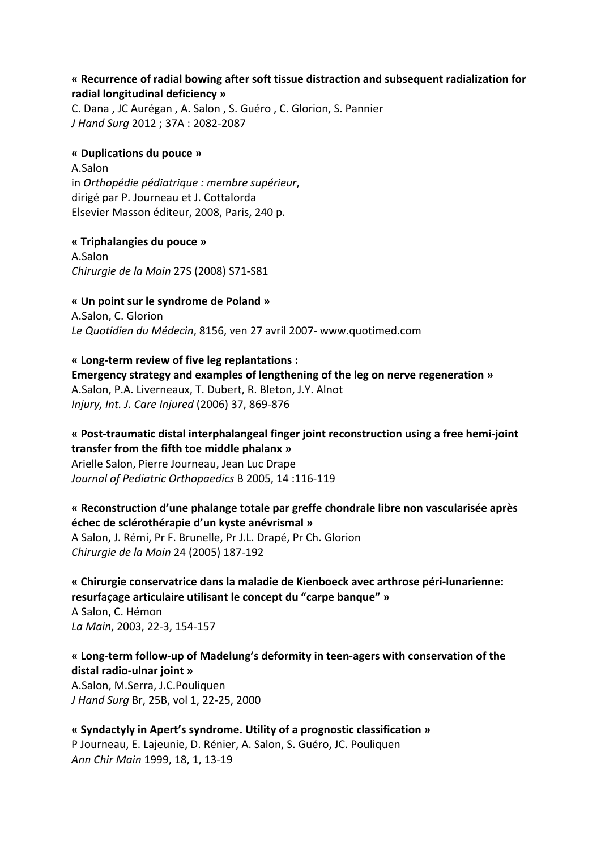#### **« Recurrence of radial bowing after soft tissue distraction and subsequent radialization for radial longitudinal deficiency »**

C. Dana , JC Aurégan , A. Salon , S. Guéro , C. Glorion, S. Pannier *J Hand Surg* 2012 ; 37A : 2082-2087

#### **« Duplications du pouce »**

A.Salon in *Orthopédie pédiatrique : membre supérieur*, dirigé par P. Journeau et J. Cottalorda Elsevier Masson éditeur, 2008, Paris, 240 p.

#### **« Triphalangies du pouce »**

A.Salon *Chirurgie de la Main* 27S (2008) S71-S81

**« Un point sur le syndrome de Poland »**  A.Salon, C. Glorion *Le Quotidien du Médecin*, 8156, ven 27 avril 2007- www.quotimed.com

**« Long-term review of five leg replantations : Emergency strategy and examples of lengthening of the leg on nerve regeneration »**  A.Salon, P.A. Liverneaux, T. Dubert, R. Bleton, J.Y. Alnot *Injury, Int. J. Care Injured* (2006) 37, 869-876

## **« Post-traumatic distal interphalangeal finger joint reconstruction using a free hemi-joint transfer from the fifth toe middle phalanx »**

Arielle Salon, Pierre Journeau, Jean Luc Drape *Journal of Pediatric Orthopaedics* B 2005, 14 :116-119

#### **« Reconstruction d'une phalange totale par greffe chondrale libre non vascularisée après échec de sclérothérapie d'un kyste anévrismal »**

A Salon, J. Rémi, Pr F. Brunelle, Pr J.L. Drapé, Pr Ch. Glorion *Chirurgie de la Main* 24 (2005) 187-192

**« Chirurgie conservatrice dans la maladie de Kienboeck avec arthrose péri-lunarienne: resurfaçage articulaire utilisant le concept du "carpe banque" »**  A Salon, C. Hémon *La Main*, 2003, 22-3, 154-157

## **« Long-term follow-up of Madelung's deformity in teen-agers with conservation of the distal radio-ulnar joint »**

A.Salon, M.Serra, J.C.Pouliquen *J Hand Surg* Br, 25B, vol 1, 22-25, 2000

**« Syndactyly in Apert's syndrome. Utility of a prognostic classification »**  P Journeau, E. Lajeunie, D. Rénier, A. Salon, S. Guéro, JC. Pouliquen *Ann Chir Main* 1999, 18, 1, 13-19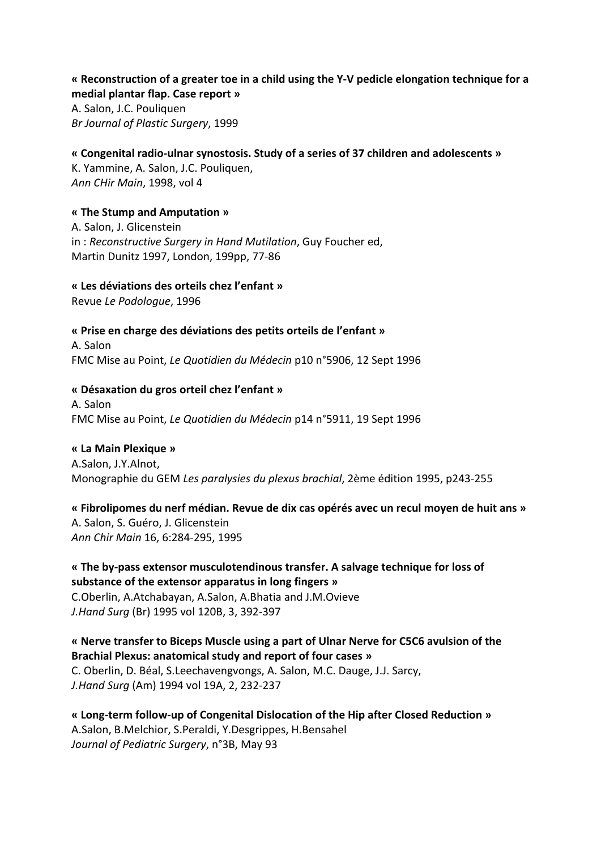#### **« Reconstruction of a greater toe in a child using the Y-V pedicle elongation technique for a medial plantar flap. Case report »**

A. Salon, J.C. Pouliquen *Br Journal of Plastic Surgery*, 1999

## **« Congenital radio-ulnar synostosis. Study of a series of 37 children and adolescents »**

K. Yammine, A. Salon, J.C. Pouliquen, *Ann CHir Main*, 1998, vol 4

## **« The Stump and Amputation »**

A. Salon, J. Glicenstein in : *Reconstructive Surgery in Hand Mutilation*, Guy Foucher ed, Martin Dunitz 1997, London, 199pp, 77-86

#### **« Les déviations des orteils chez l'enfant »**

Revue *Le Podologue*, 1996

#### **« Prise en charge des déviations des petits orteils de l'enfant »**

A. Salon FMC Mise au Point, *Le Quotidien du Médecin* p10 n°5906, 12 Sept 1996

#### **« Désaxation du gros orteil chez l'enfant »**

A. Salon FMC Mise au Point, *Le Quotidien du Médecin* p14 n°5911, 19 Sept 1996

#### **« La Main Plexique »**

A.Salon, J.Y.Alnot, Monographie du GEM *Les paralysies du plexus brachial*, 2ème édition 1995, p243-255

#### **« Fibrolipomes du nerf médian. Revue de dix cas opérés avec un recul moyen de huit ans »**

A. Salon, S. Guéro, J. Glicenstein *Ann Chir Main* 16, 6:284-295, 1995

## **« The by-pass extensor musculotendinous transfer. A salvage technique for loss of substance of the extensor apparatus in long fingers »**  C.Oberlin, A.Atchabayan, A.Salon, A.Bhatia and J.M.Ovieve

*J.Hand Surg* (Br) 1995 vol 120B, 3, 392-397

## **« Nerve transfer to Biceps Muscle using a part of Ulnar Nerve for C5C6 avulsion of the Brachial Plexus: anatomical study and report of four cases »**  C. Oberlin, D. Béal, S.Leechavengvongs, A. Salon, M.C. Dauge, J.J. Sarcy, *J.Hand Surg* (Am) 1994 vol 19A, 2, 232-237

**« Long-term follow-up of Congenital Dislocation of the Hip after Closed Reduction »**  A.Salon, B.Melchior, S.Peraldi, Y.Desgrippes, H.Bensahel *Journal of Pediatric Surgery*, n°3B, May 93